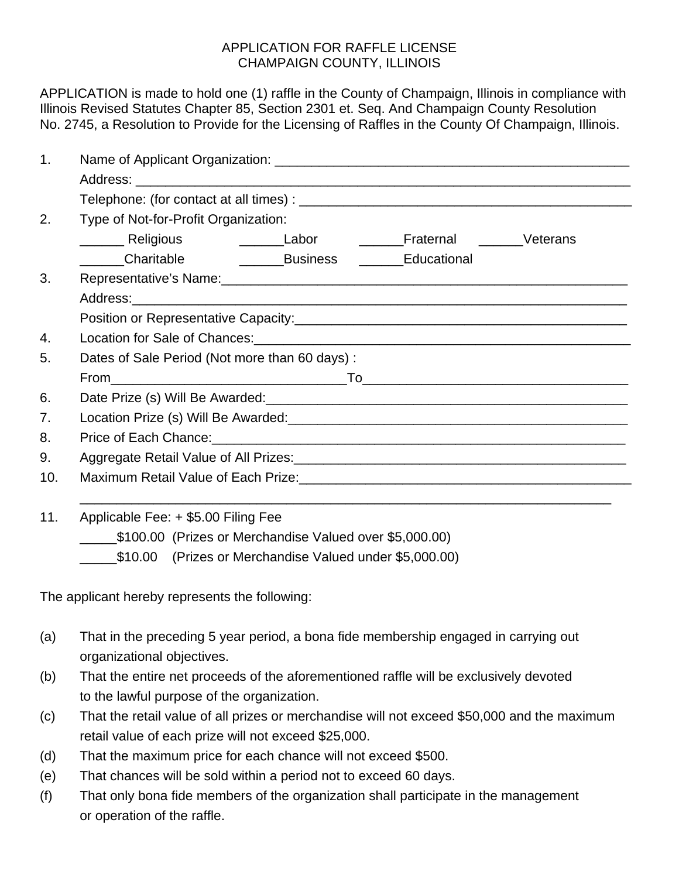## APPLICATION FOR RAFFLE LICENSE CHAMPAIGN COUNTY, ILLINOIS

APPLICATION is made to hold one (1) raffle in the County of Champaign, Illinois in compliance with Illinois Revised Statutes Chapter 85, Section 2301 et. Seq. And Champaign County Resolution No. 2745, a Resolution to Provide for the Licensing of Raffles in the County Of Champaign, Illinois.

| $\mathbf{1}$ . |                                                                                                                |  |  |  |
|----------------|----------------------------------------------------------------------------------------------------------------|--|--|--|
|                |                                                                                                                |  |  |  |
|                |                                                                                                                |  |  |  |
| 2.             | Type of Not-for-Profit Organization:                                                                           |  |  |  |
|                | ________ Religious      _______Labor     _______Fraternal    _______Veterans                                   |  |  |  |
|                |                                                                                                                |  |  |  |
| 3.             |                                                                                                                |  |  |  |
|                |                                                                                                                |  |  |  |
|                |                                                                                                                |  |  |  |
| 4.             |                                                                                                                |  |  |  |
| 5.             | Dates of Sale Period (Not more than 60 days):                                                                  |  |  |  |
|                |                                                                                                                |  |  |  |
| 6.             |                                                                                                                |  |  |  |
| 7.             |                                                                                                                |  |  |  |
| 8.             | Price of Each Chance: 1990 1990 1990 1991 1991 1992 1994 1994 1995 1996 1997 1998 1999 1999 1999 1999 1999 199 |  |  |  |
| 9.             |                                                                                                                |  |  |  |
| 10.            |                                                                                                                |  |  |  |
| 11.            | Applicable Fee: + \$5.00 Filing Fee<br>$A + A$                                                                 |  |  |  |

\_\_\_\_\_\$100.00 (Prizes or Merchandise Valued over \$5,000.00)

\_\_\_\_\_\$10.00 (Prizes or Merchandise Valued under \$5,000.00)

The applicant hereby represents the following:

- (a) That in the preceding 5 year period, a bona fide membership engaged in carrying out organizational objectives.
- (b) That the entire net proceeds of the aforementioned raffle will be exclusively devoted to the lawful purpose of the organization.
- (c) That the retail value of all prizes or merchandise will not exceed \$50,000 and the maximum retail value of each prize will not exceed \$25,000.
- (d) That the maximum price for each chance will not exceed \$500.
- (e) That chances will be sold within a period not to exceed 60 days.
- (f) That only bona fide members of the organization shall participate in the management or operation of the raffle.